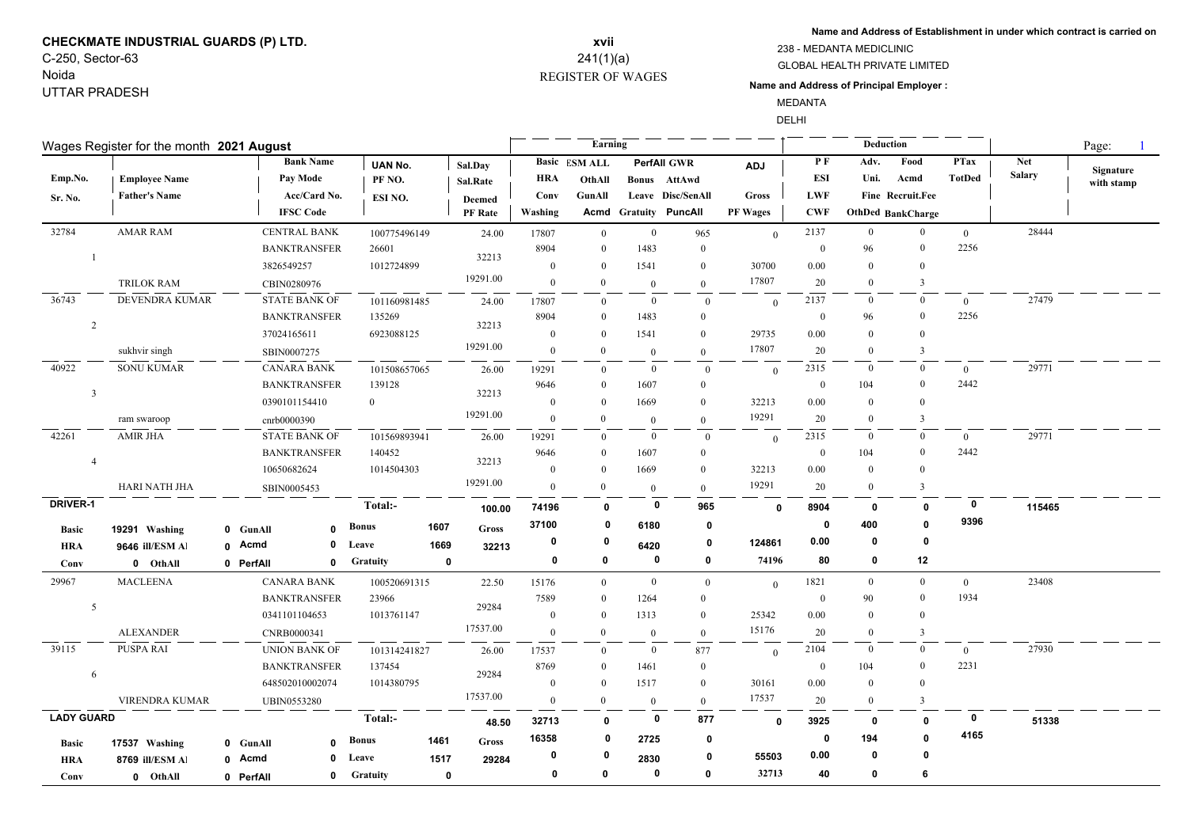# **CHECKMATE INDUSTRIAL GUARDS (P) LTD.** C-250, Sector-63

## Noida UTTAR PRADESH

## REGISTER OF WAGES **xvii** 241(1)(a)

\_\_\_\_

**Name and Address of Establishment in under which contract is carried on**

#### GLOBAL HEALTH PRIVATE LIMITED 238 - MEDANTA MEDICLINIC

**Name and Address of Principal Employer :**

MEDANTA

DELHI

 $\overline{\phantom{0}}$ 

| Wages Register for the month 2021 August |                      |                      |              |                |             |                |                | Earning              |                |                              |              |                  | Deduction        |                   | Page:          |               |            |
|------------------------------------------|----------------------|----------------------|--------------|----------------|-------------|----------------|----------------|----------------------|----------------|------------------------------|--------------|------------------|------------------|-------------------|----------------|---------------|------------|
|                                          |                      | <b>Bank Name</b>     |              | <b>UAN No.</b> |             | Sal.Day        |                | <b>Basic ESM ALL</b> |                | <b>PerfAll GWR</b>           | <b>ADJ</b>   | PF               | Adv.             | Food              | <b>PTax</b>    | <b>Net</b>    | Signature  |
| Emp.No.                                  | <b>Employee Name</b> | Pay Mode             |              | PF NO.         |             | Sal.Rate       | <b>HRA</b>     | OthAll               |                | Bonus AttAwd                 |              | ESI              | Uni.             | Acmd              | <b>TotDed</b>  | <b>Salary</b> | with stamp |
| Sr. No.                                  | <b>Father's Name</b> | Acc/Card No.         |              | ESI NO.        |             | <b>Deemed</b>  | Conv           | GunAll               |                | Leave Disc/SenAll            | <b>Gross</b> | LWF              |                  | Fine Recruit.Fee  |                |               |            |
|                                          |                      | <b>IFSC Code</b>     |              |                |             | <b>PF</b> Rate | Washing        |                      |                | <b>Acmd Gratuity PuncAll</b> | PF Wages     | <b>CWF</b>       |                  | OthDed BankCharge |                |               |            |
| 32784                                    | <b>AMAR RAM</b>      | <b>CENTRAL BANK</b>  |              | 100775496149   |             | 24.00          | 17807          | $\overline{0}$       | $\overline{0}$ | 965                          | $\Omega$     | 2137             | $\overline{0}$   | $\overline{0}$    | $\overline{0}$ | 28444         |            |
|                                          |                      | <b>BANKTRANSFER</b>  |              | 26601          |             | 32213          | 8904           | $\Omega$             | 1483           | $\overline{0}$               |              | $\mathbf{0}$     | 96               | $\theta$          | 2256           |               |            |
|                                          |                      | 3826549257           |              | 1012724899     |             |                | $\theta$       | $\Omega$             | 1541           | $\theta$                     | 30700        | $0.00\,$         | $\Omega$         | $\theta$          |                |               |            |
|                                          | <b>TRILOK RAM</b>    | CBIN0280976          |              |                |             | 19291.00       | $\overline{0}$ | $\theta$             | $\theta$       | $\overline{0}$               | 17807        | 20               | $\Omega$         | 3                 |                |               |            |
| 36743                                    | DEVENDRA KUMAR       | <b>STATE BANK OF</b> |              | 101160981485   |             | 24.00          | 17807          | $\Omega$             | $\bf{0}$       | $\overline{0}$               | $\theta$     | 2137             | $\Omega$         | $\theta$          | $\overline{0}$ | 27479         |            |
|                                          |                      | <b>BANKTRANSFER</b>  |              | 135269         |             |                | 8904           | $\Omega$             | 1483           | $\mathbf{0}$                 |              | $\mathbf{0}$     | 96               | $\mathbf{0}$      | 2256           |               |            |
| $\overline{2}$                           |                      | 37024165611          |              | 6923088125     |             | 32213          | $\overline{0}$ | $\Omega$             | 1541           | $\theta$                     | 29735        | 0.00             | $\Omega$         | $\theta$          |                |               |            |
|                                          | sukhvir singh        | SBIN0007275          |              |                |             | 19291.00       | $\overline{0}$ | $\theta$             | $\overline{0}$ | $\theta$                     | 17807        | 20               | $\bf{0}$         | 3                 |                |               |            |
| 40922                                    | <b>SONU KUMAR</b>    | <b>CANARA BANK</b>   |              | 101508657065   |             | 26.00          | 19291          | $\Omega$             | $\overline{0}$ | $\theta$                     | $\theta$     | 2315             | $\boldsymbol{0}$ | $\overline{0}$    | $\overline{0}$ | 29771         |            |
|                                          |                      | <b>BANKTRANSFER</b>  |              | 139128         |             |                | 9646           | $\Omega$             | 1607           | $\theta$                     |              | $\theta$         | 104              | $\mathbf{0}$      | 2442           |               |            |
| $\overline{\mathbf{3}}$                  |                      | 0390101154410        |              | $\overline{0}$ |             | 32213          | $\overline{0}$ | $\Omega$             | 1669           | $\theta$                     | 32213        | 0.00             | $\Omega$         | $\Omega$          |                |               |            |
|                                          | ram swaroop          | cnrb0000390          |              |                |             | 19291.00       | $\mathbf{0}$   | $\theta$             | $\overline{0}$ | $\overline{0}$               | 19291        | 20               | $\bf{0}$         | 3                 |                |               |            |
| 42261                                    | <b>AMIR JHA</b>      | <b>STATE BANK OF</b> |              | 101569893941   |             | 26.00          | 19291          | $\Omega$             | $\bf{0}$       | $\mathbf{0}$                 | $\mathbf{0}$ | 2315             | $\bf{0}$         | $\mathbf{0}$      | $\overline{0}$ | 29771         |            |
| $\overline{4}$                           |                      | <b>BANKTRANSFER</b>  |              | 140452         |             |                | 9646           | $\theta$             | 1607           | $\theta$                     |              | $\mathbf{0}$     | 104              | $\theta$          | 2442           |               |            |
|                                          |                      | 10650682624          |              | 1014504303     |             | 32213          | $\mathbf{0}$   | $\overline{0}$       | 1669           | $\theta$                     | 32213        | 0.00             | $\theta$         | $\theta$          |                |               |            |
|                                          | <b>HARI NATH JHA</b> | SBIN0005453          |              |                |             | 19291.00       | $\mathbf{0}$   | $\mathbf{0}$         | $\overline{0}$ | $\theta$                     | 19291        | 20               | $\overline{0}$   | $\overline{3}$    |                |               |            |
| <b>DRIVER-1</b>                          |                      |                      |              | Total:-        |             | 100.00         | 74196          | $\mathbf{0}$         | 0              | 965                          | $\mathbf{0}$ | 8904             | $\mathbf 0$      | $\mathbf{0}$      | $\mathbf{0}$   | 115465        |            |
| <b>Basic</b>                             | 19291 Washing        | 0 GunAll             | $\mathbf{0}$ | <b>Bonus</b>   | 1607        | <b>Gross</b>   | 37100          | 0                    | 6180           | 0                            |              | 0                | 400              | $\mathbf{0}$      | 9396           |               |            |
| <b>HRA</b>                               | 9646 ill/ESM Al      | 0 Acmd               | 0            | Leave          | 1669        | 32213          | 0              | 0                    | 6420           | 0                            | 124861       | 0.00             | 0                | $\mathbf 0$       |                |               |            |
| Conv                                     | 0 OthAll             | 0 PerfAll            | 0            | Gratuity       | $\mathbf 0$ |                | $\mathbf 0$    | $\mathbf{0}$         | 0              | $\mathbf 0$                  | 74196        | 80               | 0                | 12                |                |               |            |
| 29967                                    | <b>MACLEENA</b>      | <b>CANARA BANK</b>   |              | 100520691315   |             | 22.50          | 15176          | $\overline{0}$       | $\overline{0}$ | $\mathbf{0}$                 | $\Omega$     | 1821             | $\overline{0}$   | $\overline{0}$    | $\theta$       | 23408         |            |
|                                          |                      | <b>BANKTRANSFER</b>  |              | 23966          |             |                | 7589           | $\theta$             | 1264           | $\theta$                     |              | $\bf{0}$         | 90               | $\mathbf{0}$      | 1934           |               |            |
| 5                                        |                      | 0341101104653        |              | 1013761147     |             | 29284          | $\mathbf{0}$   | $\overline{0}$       | 1313           | $\mathbf{0}$                 | 25342        | 0.00             | $\mathbf{0}$     | $\overline{0}$    |                |               |            |
|                                          | <b>ALEXANDER</b>     | CNRB0000341          |              |                |             | 17537.00       | $\theta$       | $\Omega$             | $\overline{0}$ | $\theta$                     | 15176        | 20               | $\Omega$         | $\overline{3}$    |                |               |            |
| 39115                                    | <b>PUSPA RAI</b>     | <b>UNION BANK OF</b> |              | 101314241827   |             | 26.00          | 17537          | $\overline{0}$       | $\bf{0}$       | 877                          | $\Omega$     | 2104             | $\mathbf{0}$     | $\overline{0}$    | $\overline{0}$ | 27930         |            |
|                                          |                      | <b>BANKTRANSFER</b>  |              | 137454         |             |                | 8769           | $\bf{0}$             | 1461           | $\mathbf{0}$                 |              | $\boldsymbol{0}$ | 104              | $\mathbf{0}$      | 2231           |               |            |
| 6                                        |                      | 648502010002074      |              | 1014380795     |             | 29284          | $\theta$       | $\Omega$             | 1517           | $\overline{0}$               | 30161        | 0.00             | $\overline{0}$   | $\theta$          |                |               |            |
|                                          | VIRENDRA KUMAR       | <b>UBIN0553280</b>   |              |                |             | 17537.00       | $\mathbf{0}$   | $\Omega$             | $\theta$       | $\theta$                     | 17537        | 20               | $\overline{0}$   | $\overline{3}$    |                |               |            |
| <b>LADY GUARD</b>                        |                      |                      |              | Total:-        |             | 48.50          | 32713          | $\mathbf{0}$         | 0              | 877                          | $\Omega$     | 3925             | $\mathbf 0$      | $\mathbf 0$       | 0              | 51338         |            |
| <b>Basic</b>                             | 17537 Washing        | 0 GunAll             | $\Omega$     | <b>Bonus</b>   | 1461        | Gross          | 16358          | 0                    | 2725           | 0                            |              | 0                | 194              | $\mathbf 0$       | 4165           |               |            |
| <b>HRA</b>                               | 8769 ill/ESM Al      | 0 Acmd               | $\mathbf{0}$ | Leave          | 1517        | 29284          | 0              | 0                    | 2830           | 0                            | 55503        | 0.00             | 0                | 0                 |                |               |            |
| Conv                                     | 0 OthAll             | 0 PerfAll            | 0            | Gratuity       | $\mathbf 0$ |                | 0              | 0                    | 0              | 0                            | 32713        | 40               | 0                | 6                 |                |               |            |
|                                          |                      |                      |              |                |             |                |                |                      |                |                              |              |                  |                  |                   |                |               |            |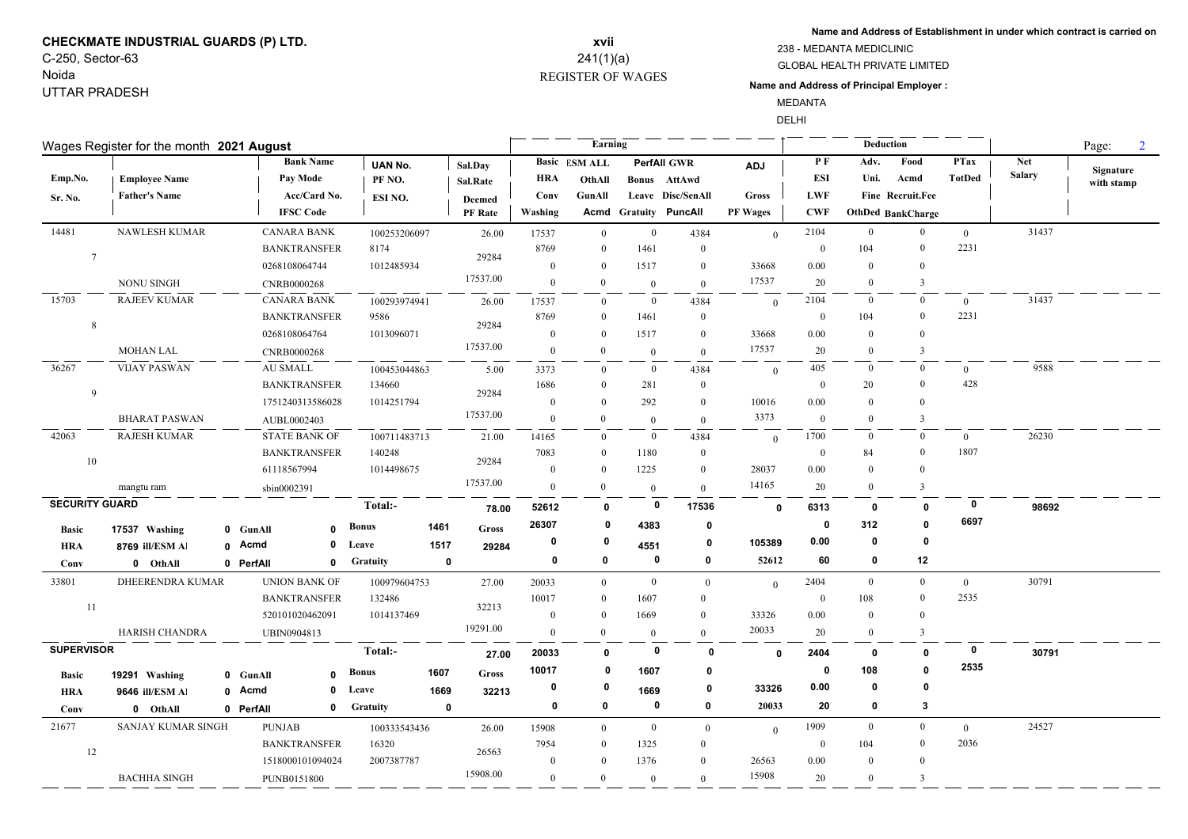# **CHECKMATE INDUSTRIAL GUARDS (P) LTD.** C-250, Sector-63

Noida UTTAR PRADESH

### REGISTER OF WAGES **xvii** 241(1)(a)

**Name and Address of Establishment in under which contract is carried on**

#### GLOBAL HEALTH PRIVATE LIMITED

#### **Name and Address of Principal Employer :**

238 - MEDANTA MEDICLINIC

MEDANTA

DELHI

| Wages Register for the month 2021 August |                       |  |                     |                      |                 |             |                |             | Earning              |                |                              |                 |                |                | Deduction         |                |               |            |  |  |
|------------------------------------------|-----------------------|--|---------------------|----------------------|-----------------|-------------|----------------|-------------|----------------------|----------------|------------------------------|-----------------|----------------|----------------|-------------------|----------------|---------------|------------|--|--|
|                                          |                       |  |                     | <b>Bank Name</b>     | <b>UAN No.</b>  |             | Sal.Day        |             | <b>Basic ESM ALL</b> |                | <b>PerfAll GWR</b>           | <b>ADJ</b>      | P F            | Adv.           | Food              | <b>PTax</b>    | Net           | Signature  |  |  |
| Emp.No.                                  | <b>Employee Name</b>  |  |                     | Pay Mode             | PF NO.          |             | Sal.Rate       | <b>HRA</b>  | OthAll               |                | Bonus AttAwd                 |                 | <b>ESI</b>     | Uni.           | Acmd              | <b>TotDed</b>  | <b>Salary</b> | with stamp |  |  |
| Sr. No.                                  | <b>Father's Name</b>  |  |                     | Acc/Card No.         | ESI NO.         |             | Deemed         | Conv        | GunAll               |                | Leave Disc/SenAll            | Gross           | <b>LWF</b>     |                | Fine Recruit.Fee  |                |               |            |  |  |
|                                          |                       |  | <b>IFSC Code</b>    |                      |                 |             | <b>PF</b> Rate | Washing     |                      |                | <b>Acmd Gratuity PuncAll</b> | <b>PF Wages</b> | <b>CWF</b>     |                | OthDed BankCharge |                |               |            |  |  |
| 14481                                    | NAWLESH KUMAR         |  |                     | <b>CANARA BANK</b>   | 100253206097    |             | 26.00          | 17537       | $\mathbf{0}$         | $\overline{0}$ | 4384                         | $\mathbf{0}$    | 2104           | $\mathbf{0}$   | $\bf{0}$          | $\mathbf{0}$   | 31437         |            |  |  |
| $7\phantom{.0}$                          |                       |  |                     | <b>BANKTRANSFER</b>  | 8174            |             | 29284          | 8769        | $\mathbf{0}$         | 1461           | $\mathbf{0}$                 |                 | $\overline{0}$ | 104            | $\boldsymbol{0}$  | 2231           |               |            |  |  |
|                                          |                       |  | 0268108064744       |                      | 1012485934      |             |                | $\Omega$    | $\theta$             | 1517           | $\mathbf{0}$                 | 33668           | 0.00           | $\theta$       | $\mathbf{0}$      |                |               |            |  |  |
|                                          | <b>NONU SINGH</b>     |  | CNRB0000268         |                      |                 |             | 17537.00       | $\theta$    | $\theta$             | $\bf{0}$       | $\Omega$                     | 17537           | 20             | $\overline{0}$ | $\overline{3}$    |                |               |            |  |  |
| 15703                                    | <b>RAJEEV KUMAR</b>   |  |                     | <b>CANARA BANK</b>   | 100293974941    |             | 26.00          | 17537       | $\Omega$             | $\bf{0}$       | 4384                         | $\overline{0}$  | 2104           | $\bf{0}$       | $\overline{0}$    | $\overline{0}$ | 31437         |            |  |  |
| 8                                        |                       |  |                     | <b>BANKTRANSFER</b>  | 9586            |             | 29284          | 8769        | $\bf{0}$             | 1461           | $\Omega$                     |                 | $\overline{0}$ | 104            | $\bf{0}$          | 2231           |               |            |  |  |
|                                          |                       |  | 0268108064764       |                      | 1013096071      |             |                | 0           | $\Omega$             | 1517           | $\Omega$                     | 33668           | 0.00           | $\Omega$       | $\mathbf{0}$      |                |               |            |  |  |
|                                          | <b>MOHAN LAL</b>      |  | CNRB0000268         |                      |                 |             | 17537.00       | $\theta$    | $\overline{0}$       | $\mathbf{0}$   | $\mathbf{0}$                 | 17537           | 20             | $\overline{0}$ | $\overline{3}$    |                |               |            |  |  |
| 36267                                    | <b>VIJAY PASWAN</b>   |  | AU SMALL            |                      | 100453044863    |             | 5.00           | 3373        | $\Omega$             | $\overline{0}$ | 4384                         | $\overline{0}$  | 405            | $\bf{0}$       | $\bf{0}$          | $\overline{0}$ | 9588          |            |  |  |
| 9                                        |                       |  |                     | <b>BANKTRANSFER</b>  | 134660          |             | 29284          | 1686        | $\theta$             | 281            | $\theta$                     |                 | $\mathbf{0}$   | 20             | $\bf{0}$          | 428            |               |            |  |  |
|                                          |                       |  |                     | 1751240313586028     | 1014251794      |             |                | $\Omega$    | $\Omega$             | 292            | $\Omega$                     | 10016           | 0.00           | $\theta$       | $\theta$          |                |               |            |  |  |
|                                          | <b>BHARAT PASWAN</b>  |  | AUBL0002403         |                      |                 |             | 17537.00       | $\Omega$    | $\Omega$             | $\overline{0}$ | $\theta$                     | 3373            | $\theta$       | $\theta$       | $\mathcal{R}$     |                |               |            |  |  |
| 42063                                    | <b>RAJESH KUMAR</b>   |  |                     | <b>STATE BANK OF</b> | 100711483713    |             | 21.00          | 14165       | $\theta$             | $\bf{0}$       | 4384                         | $\theta$        | 1700           | $\mathbf{0}$   | $\bf{0}$          | $\overline{0}$ | 26230         |            |  |  |
| 10                                       |                       |  |                     | <b>BANKTRANSFER</b>  | 140248          |             | 29284          | 7083        | $\Omega$             | 1180           | $\theta$                     |                 | $\mathbf{0}$   | 84             | $\Omega$          | 1807           |               |            |  |  |
|                                          |                       |  | 61118567994         |                      | 1014498675      |             | 17537.00       | $\theta$    | $\Omega$             | 1225           | $\Omega$                     | 28037           | 0.00           | $\theta$       | $\theta$          |                |               |            |  |  |
|                                          | mangtu ram            |  | sbin0002391         |                      |                 |             |                | $\theta$    | $\Omega$             | $\theta$       | $\theta$                     | 14165           | 20             | $\overline{0}$ | 3                 |                |               |            |  |  |
| <b>SECURITY GUARD</b>                    |                       |  |                     |                      | Total:-         |             | 78.00          | 52612       | 0                    | 0              | 17536                        | $\mathbf 0$     | 6313           | 0              | $\mathbf 0$       | 0              | 98692         |            |  |  |
| <b>Basic</b>                             | 17537 Washing         |  | 0 GunAll            | $\Omega$             | Bonus           | 1461        | Gross          | 26307       | 0                    | 4383           | $\mathbf 0$                  |                 | 0              | 312            | $\mathbf 0$       | 6697           |               |            |  |  |
| <b>HRA</b>                               | 8769 ill/ESM Al       |  | 0 Acmd              | 0                    | Leave           | 1517        | 29284          | $\mathbf 0$ | 0                    | 4551           | 0                            | 105389          | 0.00           | 0              | $\mathbf 0$       |                |               |            |  |  |
| Conv                                     | 0 OthAll              |  | 0 PerfAll           | 0                    | Gratuity        | $\mathbf 0$ |                | $\mathbf 0$ | $\mathbf 0$          | 0              | 0                            | 52612           | 60             | 0              | 12                |                |               |            |  |  |
| 33801                                    | DHEERENDRA KUMAR      |  |                     | <b>UNION BANK OF</b> | 100979604753    |             | 27.00          | 20033       | $\Omega$             | $\overline{0}$ | $\mathbf{0}$                 | $\overline{0}$  | 2404           | $\overline{0}$ | $\overline{0}$    | $\overline{0}$ | 30791         |            |  |  |
|                                          |                       |  | <b>BANKTRANSFER</b> |                      | 132486          |             |                | 10017       | $\Omega$             | 1607           | $\mathbf{0}$                 |                 | $\overline{0}$ | 108            | $\mathbf{0}$      | 2535           |               |            |  |  |
| 11                                       |                       |  | 520101020462091     |                      | 1014137469      |             | 32213          | $\Omega$    | $\Omega$             | 1669           | $\theta$                     | 33326           | 0.00           | $\theta$       | $\mathbf{0}$      |                |               |            |  |  |
|                                          | <b>HARISH CHANDRA</b> |  | UBIN0904813         |                      |                 |             | 19291.00       | $\theta$    | $\theta$             | $\mathbf{0}$   | $\theta$                     | 20033           | 20             | $\overline{0}$ | $\overline{3}$    |                |               |            |  |  |
| <b>SUPERVISOR</b>                        |                       |  |                     |                      | Total:-         |             | 27.00          | 20033       | $\mathbf{0}$         | $\mathbf 0$    | 0                            | $\mathbf{0}$    | 2404           | 0              | $\mathbf{0}$      | 0              | 30791         |            |  |  |
| <b>Basic</b>                             | 19291 Washing         |  | 0 GunAll            | $\Omega$             | Bonus           | 1607        | Gross          | 10017       | $\mathbf{0}$         | 1607           | 0                            |                 | 0              | 108            | $\mathbf{0}$      | 2535           |               |            |  |  |
| <b>HRA</b>                               | 9646 ill/ESM Al       |  | 0 Acmd              | 0                    | Leave           | 1669        | 32213          | 0           | 0                    | 1669           | 0                            | 33326           | 0.00           | 0              | 0                 |                |               |            |  |  |
| Conv                                     | 0 OthAll              |  | 0 PerfAll           | 0                    | <b>Gratuity</b> | $\mathbf 0$ |                | 0           | 0                    | $\mathbf 0$    | $\mathbf 0$                  | 20033           | 20             | 0              | 3                 |                |               |            |  |  |
| 21677                                    | SANJAY KUMAR SINGH    |  | <b>PUNJAB</b>       |                      | 100333543436    |             | 26.00          | 15908       | $\overline{0}$       | $\overline{0}$ | $\mathbf{0}$                 | $\overline{0}$  | 1909           | $\mathbf{0}$   | $\mathbf{0}$      | $\overline{0}$ | 24527         |            |  |  |
|                                          |                       |  |                     | <b>BANKTRANSFER</b>  | 16320           |             |                | 7954        | $\mathbf{0}$         | 1325           | $\mathbf{0}$                 |                 | $\overline{0}$ | 104            | $\mathbf{0}$      | 2036           |               |            |  |  |
| 12                                       |                       |  |                     | 1518000101094024     | 2007387787      |             | 26563          | $\Omega$    | $\Omega$             | 1376           | $\Omega$                     | 26563           | 0.00           | $\mathbf{0}$   | $\mathbf{0}$      |                |               |            |  |  |
|                                          | <b>BACHHA SINGH</b>   |  | PUNB0151800         |                      |                 |             | 15908.00       | $\theta$    | $\theta$             | $\overline{0}$ | $\theta$                     | 15908           | 20             | $\overline{0}$ | 3                 |                |               |            |  |  |